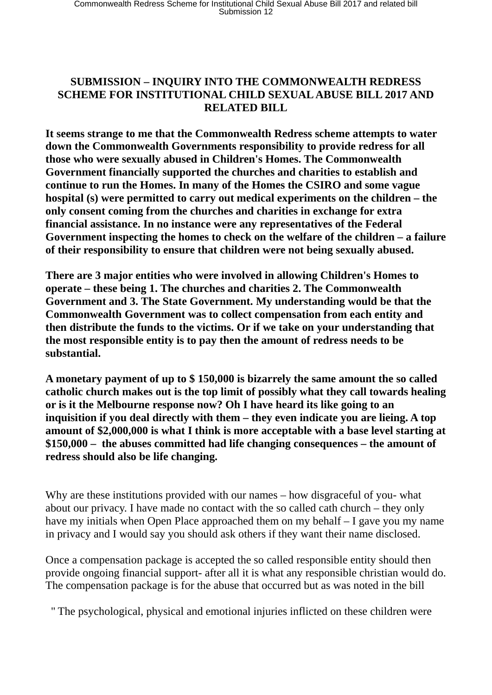## **SUBMISSION – INQUIRY INTO THE COMMONWEALTH REDRESS SCHEME FOR INSTITUTIONAL CHILD SEXUAL ABUSE BILL 2017 AND RELATED BILL**

**It seems strange to me that the Commonwealth Redress scheme attempts to water down the Commonwealth Governments responsibility to provide redress for all those who were sexually abused in Children's Homes. The Commonwealth Government financially supported the churches and charities to establish and continue to run the Homes. In many of the Homes the CSIRO and some vague hospital (s) were permitted to carry out medical experiments on the children – the only consent coming from the churches and charities in exchange for extra financial assistance. In no instance were any representatives of the Federal Government inspecting the homes to check on the welfare of the children – a failure of their responsibility to ensure that children were not being sexually abused.** 

**There are 3 major entities who were involved in allowing Children's Homes to operate – these being 1. The churches and charities 2. The Commonwealth Government and 3. The State Government. My understanding would be that the Commonwealth Government was to collect compensation from each entity and then distribute the funds to the victims. Or if we take on your understanding that the most responsible entity is to pay then the amount of redress needs to be substantial.** 

**A monetary payment of up to \$ 150,000 is bizarrely the same amount the so called catholic church makes out is the top limit of possibly what they call towards healing or is it the Melbourne response now? Oh I have heard its like going to an inquisition if you deal directly with them – they even indicate you are lieing. A top amount of \$2,000,000 is what I think is more acceptable with a base level starting at \$150,000 – the abuses committed had life changing consequences – the amount of redress should also be life changing.** 

Why are these institutions provided with our names – how disgraceful of you- what about our privacy. I have made no contact with the so called cath church – they only have my initials when Open Place approached them on my behalf – I gave you my name in privacy and I would say you should ask others if they want their name disclosed.

Once a compensation package is accepted the so called responsible entity should then provide ongoing financial support- after all it is what any responsible christian would do. The compensation package is for the abuse that occurred but as was noted in the bill

'' The psychological, physical and emotional injuries inflicted on these children were